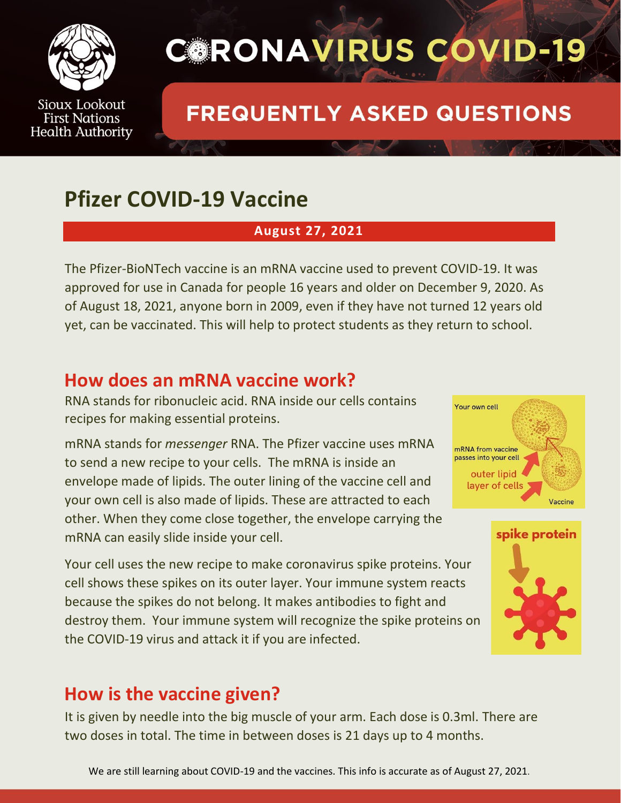

## **CORONAVIRUS COVID-19**

## **FREQUENTLY ASKED QUESTIONS**

## **Pfizer COVID-19 Vaccine**

#### **August 27, 2021**

The Pfizer-BioNTech vaccine is an mRNA vaccine used to prevent COVID-19. It was approved for use in Canada for people 16 years and older on December 9, 2020. As of August 18, 2021, anyone born in 2009, even if they have not turned 12 years old yet, can be vaccinated. This will help to protect students as they return to school.

### **How does an mRNA vaccine work?**

RNA stands for ribonucleic acid. RNA inside our cells contains recipes for making essential proteins.

mRNA stands for *messenger* RNA. The Pfizer vaccine uses mRNA to send a new recipe to your cells. The mRNA is inside an envelope made of lipids. The outer lining of the vaccine cell and your own cell is also made of lipids. These are attracted to each other. When they come close together, the envelope carrying the mRNA can easily slide inside your cell.

Your cell uses the new recipe to make coronavirus spike proteins. Your cell shows these spikes on its outer layer. Your immune system reacts because the spikes do not belong. It makes antibodies to fight and destroy them. Your immune system will recognize the spike proteins on the COVID-19 virus and attack it if you are infected.

### **How is the vaccine given?**

It is given by needle into the big muscle of your arm. Each dose is 0.3ml. There are two doses in total. The time in between doses is 21 days up to 4 months.



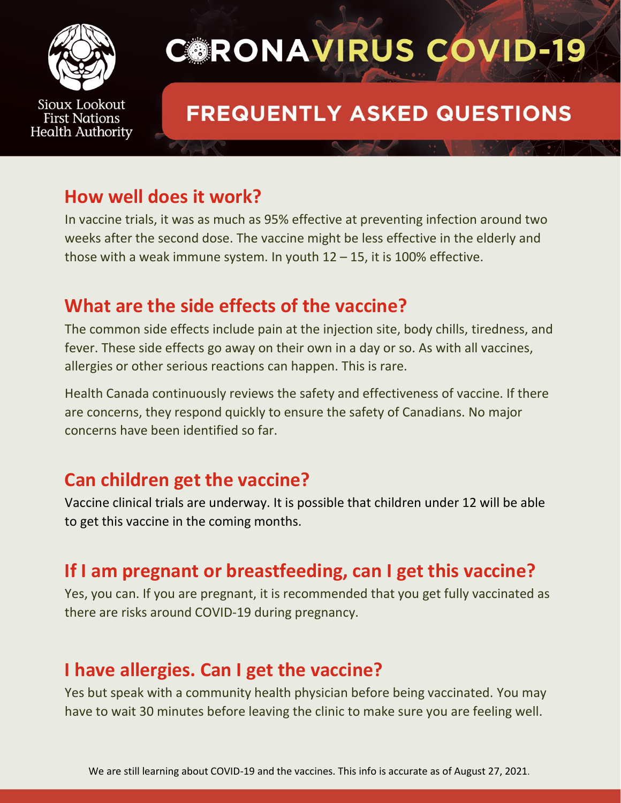

# **CORONAVIRUS COVID-19**

## **FREQUENTLY ASKED QUESTIONS**

#### **How well does it work?**

In vaccine trials, it was as much as 95% effective at preventing infection around two weeks after the second dose. The vaccine might be less effective in the elderly and those with a weak immune system. In youth  $12 - 15$ , it is 100% effective.

### **What are the side effects of the vaccine?**

The common side effects include pain at the injection site, body chills, tiredness, and fever. These side effects go away on their own in a day or so. As with all vaccines, allergies or other serious reactions can happen. This is rare.

Health Canada continuously reviews the safety and effectiveness of vaccine. If there are concerns, they respond quickly to ensure the safety of Canadians. No major concerns have been identified so far.

### **Can children get the vaccine?**

Vaccine clinical trials are underway. It is possible that children under 12 will be able to get this vaccine in the coming months.

### **If I am pregnant or breastfeeding, can I get this vaccine?**

Yes, you can. If you are pregnant, it is recommended that you get fully vaccinated as there are risks around COVID-19 during pregnancy.

### **I have allergies. Can I get the vaccine?**

Yes but speak with a community health physician before being vaccinated. You may have to wait 30 minutes before leaving the clinic to make sure you are feeling well.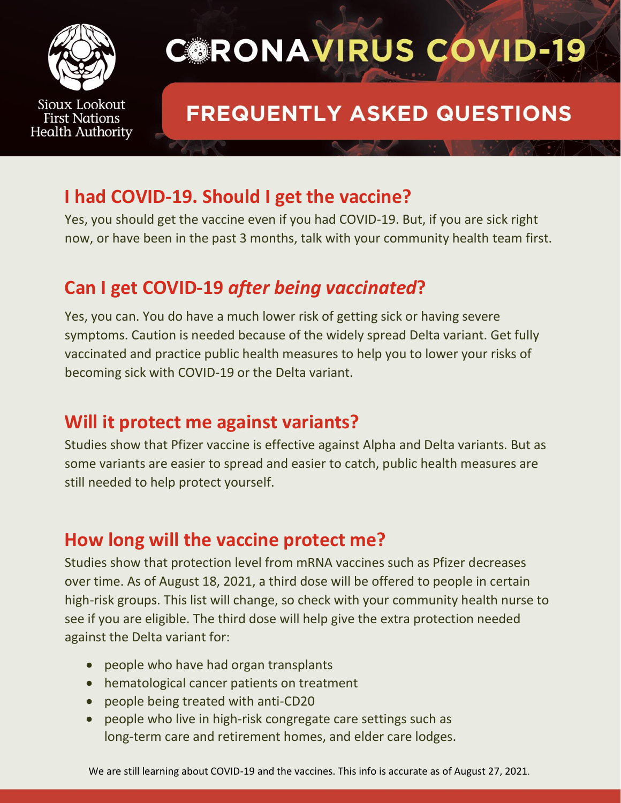

# **CORONAVIRUS COVID-19**

## **FREQUENTLY ASKED QUESTIONS**

### **I had COVID-19. Should I get the vaccine?**

Yes, you should get the vaccine even if you had COVID-19. But, if you are sick right now, or have been in the past 3 months, talk with your community health team first.

### **Can I get COVID-19** *after being vaccinated***?**

Yes, you can. You do have a much lower risk of getting sick or having severe symptoms. Caution is needed because of the widely spread Delta variant. Get fully vaccinated and practice public health measures to help you to lower your risks of becoming sick with COVID-19 or the Delta variant.

### **Will it protect me against variants?**

Studies show that Pfizer vaccine is effective against Alpha and Delta variants. But as some variants are easier to spread and easier to catch, public health measures are still needed to help protect yourself.

### **How long will the vaccine protect me?**

Studies show that protection level from mRNA vaccines such as Pfizer decreases over time. As of August 18, 2021, a third dose will be offered to people in certain high-risk groups. This list will change, so check with your community health nurse to see if you are eligible. The third dose will help give the extra protection needed against the Delta variant for:

- people who have had organ transplants
- hematological cancer patients on treatment
- people being treated with anti-CD20
- people who live in high-risk congregate care settings such as long-term care and retirement homes, and elder care lodges.